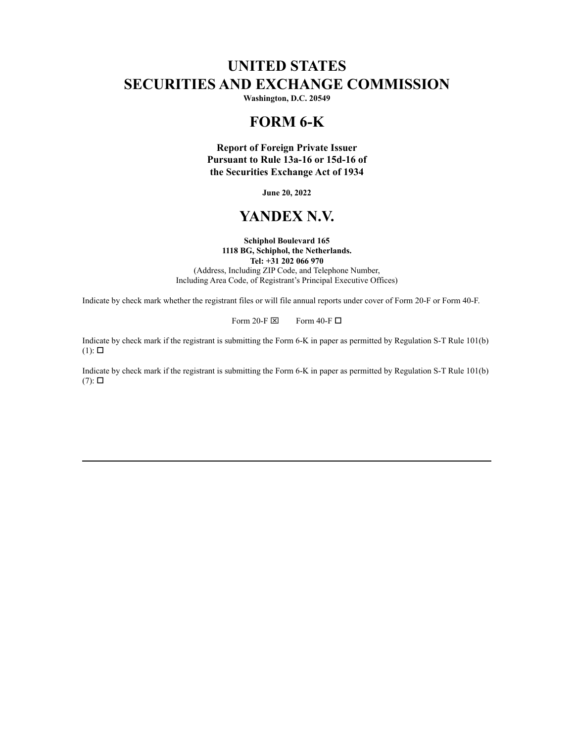# **UNITED STATES SECURITIES AND EXCHANGE COMMISSION**

**Washington, D.C. 20549**

## **FORM 6-K**

**Report of Foreign Private Issuer Pursuant to Rule 13a-16 or 15d-16 of the Securities Exchange Act of 1934**

**June 20, 2022**

## **YANDEX N.V.**

#### **Schiphol Boulevard 165 1118 BG, Schiphol, the Netherlands.**

**Tel: +31 202 066 970**

(Address, Including ZIP Code, and Telephone Number, Including Area Code, of Registrant's Principal Executive Offices)

Indicate by check mark whether the registrant files or will file annual reports under cover of Form 20-F or Form 40-F.

Form 20-F  $\boxtimes$  Form 40-F  $\Box$ 

Indicate by check mark if the registrant is submitting the Form 6-K in paper as permitted by Regulation S-T Rule 101(b)  $(1)$ :  $\square$ 

Indicate by check mark if the registrant is submitting the Form 6-K in paper as permitted by Regulation S-T Rule 101(b)  $(7)$ :  $\square$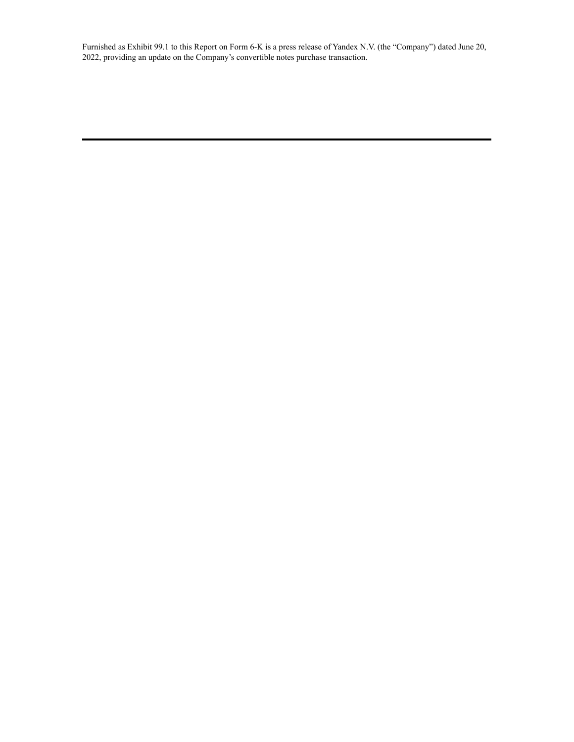Furnished as Exhibit 99.1 to this Report on Form 6-K is a press release of Yandex N.V. (the "Company") dated June 20, 2022, providing an update on the Company's convertible notes purchase transaction.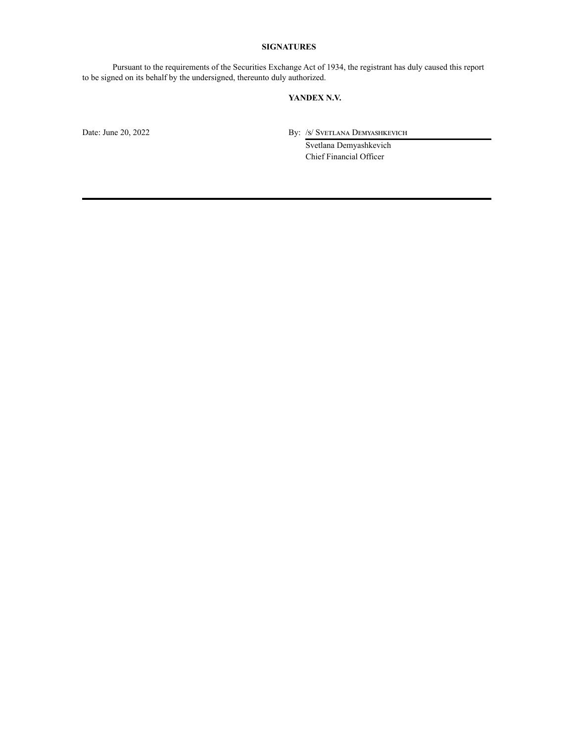#### **SIGNATURES**

Pursuant to the requirements of the Securities Exchange Act of 1934, the registrant has duly caused this report to be signed on its behalf by the undersigned, thereunto duly authorized.

#### **YANDEX N.V.**

Date: June 20, 2022 By: /s/ Svetlana Demyashkevich

Svetlana Demyashkevich Chief Financial Officer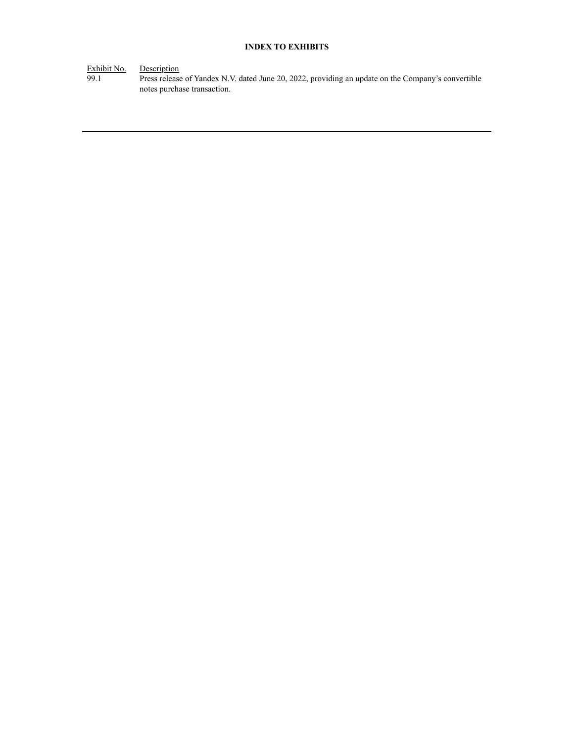### **INDEX TO EXHIBITS**

Exhibit No. Description

99.1 Press release of Yandex N.V. dated June 20, 2022, providing an update on the Company's convertible notes purchase transaction.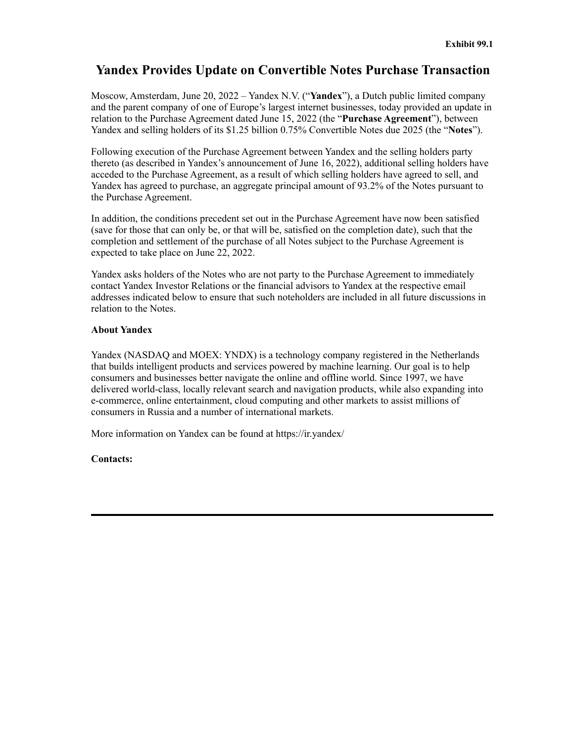## **Yandex Provides Update on Convertible Notes Purchase Transaction**

Moscow, Amsterdam, June 20, 2022 – Yandex N.V. ("**Yandex**"), a Dutch public limited company and the parent company of one of Europe's largest internet businesses, today provided an update in relation to the Purchase Agreement dated June 15, 2022 (the "**Purchase Agreement**"), between Yandex and selling holders of its \$1.25 billion 0.75% Convertible Notes due 2025 (the "**Notes**").

Following execution of the Purchase Agreement between Yandex and the selling holders party thereto (as described in Yandex's announcement of June 16, 2022), additional selling holders have acceded to the Purchase Agreement, as a result of which selling holders have agreed to sell, and Yandex has agreed to purchase, an aggregate principal amount of 93.2% of the Notes pursuant to the Purchase Agreement.

In addition, the conditions precedent set out in the Purchase Agreement have now been satisfied (save for those that can only be, or that will be, satisfied on the completion date), such that the completion and settlement of the purchase of all Notes subject to the Purchase Agreement is expected to take place on June 22, 2022.

Yandex asks holders of the Notes who are not party to the Purchase Agreement to immediately contact Yandex Investor Relations or the financial advisors to Yandex at the respective email addresses indicated below to ensure that such noteholders are included in all future discussions in relation to the Notes.

### **About Yandex**

Yandex (NASDAQ and MOEX: YNDX) is a technology company registered in the Netherlands that builds intelligent products and services powered by machine learning. Our goal is to help consumers and businesses better navigate the online and offline world. Since 1997, we have delivered world-class, locally relevant search and navigation products, while also expanding into e-commerce, online entertainment, cloud computing and other markets to assist millions of consumers in Russia and a number of international markets.

More information on Yandex can be found at https://ir.yandex/

### **Contacts:**